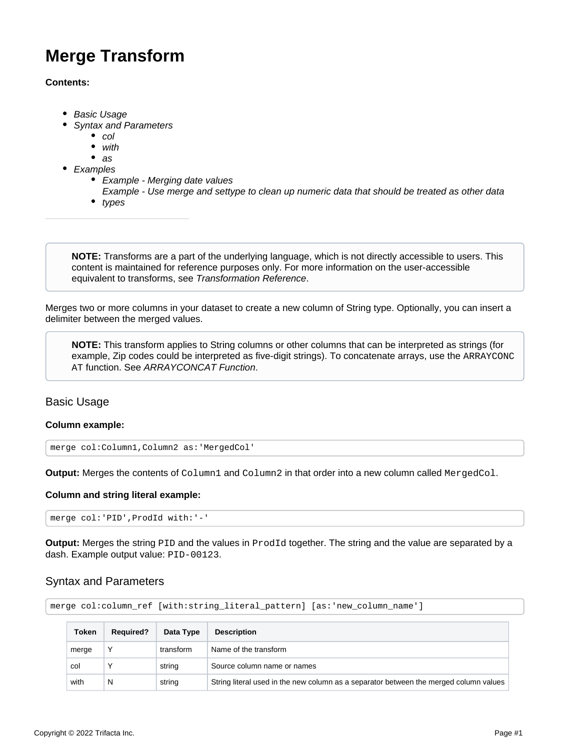# <span id="page-0-2"></span>**Merge Transform**

# **Contents:**

- [Basic Usage](#page-0-0)
- [Syntax and Parameters](#page-0-1)
	- [col](#page-1-0)
	- [with](#page-1-1)
	- $as$  $as$
- [Examples](#page-2-0)
	- [Example Merging date values](#page-2-1)
	- [Example Use merge and settype to clean up numeric data that should be treated as other data](#page-2-2)
	- $\bullet$  types

**NOTE:** Transforms are a part of the underlying language, which is not directly accessible to users. This content is maintained for reference purposes only. For more information on the user-accessible equivalent to transforms, see [Transformation Reference](https://docs.trifacta.com/display/r064/Transformation+Reference).

Merges two or more columns in your dataset to create a new column of String type. Optionally, you can insert a delimiter between the merged values.

**NOTE:** This transform applies to String columns or other columns that can be interpreted as strings (for example, Zip codes could be interpreted as five-digit strings). To concatenate arrays, use the ARRAYCONC AT function. See [ARRAYCONCAT Function](https://docs.trifacta.com/display/r064/ARRAYCONCAT+Function).

# <span id="page-0-0"></span>Basic Usage

## **Column example:**

merge col:Column1,Column2 as:'MergedCol'

**Output:** Merges the contents of Column1 and Column2 in that order into a new column called MergedCol.

## **Column and string literal example:**

merge col:'PID',ProdId with:'-'

**Output:** Merges the string PID and the values in ProdId together. The string and the value are separated by a dash. Example output value: PID-00123.

# <span id="page-0-1"></span>Syntax and Parameters

```
merge col:column_ref [with:string_literal_pattern] [as:'new_column_name']
```

| <b>Token</b> | <b>Required?</b> | Data Type | <b>Description</b>                                                                    |
|--------------|------------------|-----------|---------------------------------------------------------------------------------------|
| merge        |                  | transform | Name of the transform                                                                 |
| col          |                  | string    | Source column name or names                                                           |
| with         | N                | string    | String literal used in the new column as a separator between the merged column values |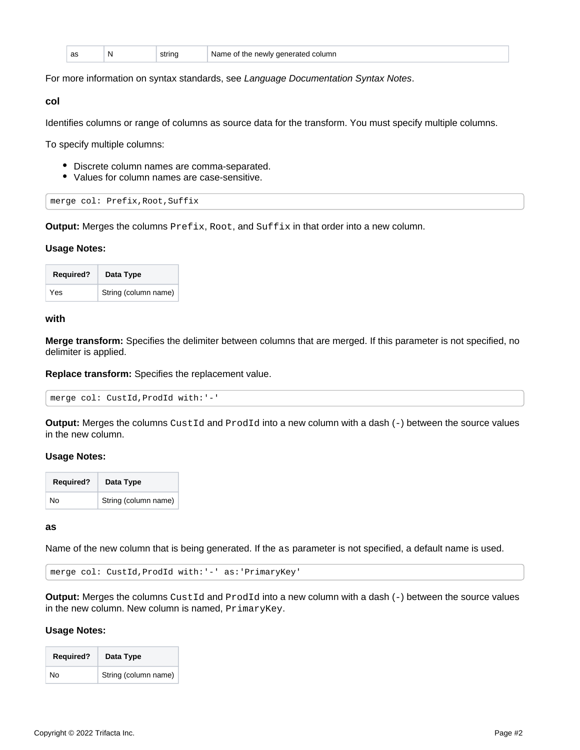| as | N | ~***~<br>___ | <i>i</i> the newly generated column<br>Name of<br>.<br>. |
|----|---|--------------|----------------------------------------------------------|
|----|---|--------------|----------------------------------------------------------|

For more information on syntax standards, see [Language Documentation Syntax Notes](https://docs.trifacta.com/display/r064/Language+Documentation+Syntax+Notes).

#### <span id="page-1-0"></span>**col**

Identifies columns or range of columns as source data for the transform. You must specify multiple columns.

To specify multiple columns:

- Discrete column names are comma-separated.
- Values for column names are case-sensitive.

merge col: Prefix,Root,Suffix

**Output:** Merges the columns Prefix, Root, and Suffix in that order into a new column.

#### **Usage Notes:**

| <b>Required?</b> | Data Type            |
|------------------|----------------------|
| Yes              | String (column name) |

## <span id="page-1-1"></span>**with**

**Merge transform:** Specifies the delimiter between columns that are merged. If this parameter is not specified, no delimiter is applied.

**Replace transform:** Specifies the replacement value.

merge col: CustId,ProdId with:'-'

**Output:** Merges the columns CustId and ProdId into a new column with a dash (-) between the source values in the new column.

#### **Usage Notes:**

| <b>Required?</b> | Data Type            |
|------------------|----------------------|
| No               | String (column name) |

<span id="page-1-2"></span>**as**

Name of the new column that is being generated. If the as parameter is not specified, a default name is used.

merge col: CustId,ProdId with:'-' as:'PrimaryKey'

**Output:** Merges the columns CustId and ProdId into a new column with a dash (-) between the source values in the new column. New column is named, PrimaryKey.

#### **Usage Notes:**

| <b>Required?</b> | Data Type            |
|------------------|----------------------|
| N٥               | String (column name) |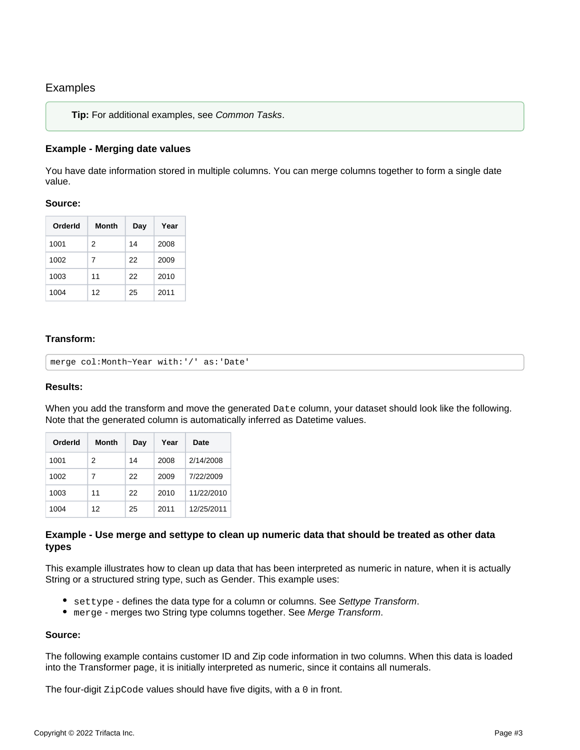# <span id="page-2-0"></span>Examples

**Tip:** For additional examples, see [Common Tasks](https://docs.trifacta.com/display/r064/Common+Tasks).

# <span id="page-2-1"></span>**Example - Merging date values**

You have date information stored in multiple columns. You can merge columns together to form a single date value.

# **Source:**

| Orderld | Month | Dav | Year |
|---------|-------|-----|------|
| 1001    | 2     | 14  | 2008 |
| 1002    | 7     | 22  | 2009 |
| 1003    | 11    | 22  | 2010 |
| 1004    | 12    | 25  | 2011 |

## **Transform:**

```
merge col:Month~Year with:'/' as:'Date'
```
# **Results:**

When you add the transform and move the generated Date column, your dataset should look like the following. Note that the generated column is automatically inferred as Datetime values.

| OrderId | Month | Day | Year | Date       |
|---------|-------|-----|------|------------|
| 1001    | 2     | 14  | 2008 | 2/14/2008  |
| 1002    | 7     | 22  | 2009 | 7/22/2009  |
| 1003    | 11    | 22  | 2010 | 11/22/2010 |
| 1004    | 12    | 25  | 2011 | 12/25/2011 |

# <span id="page-2-2"></span>**Example - Use merge and settype to clean up numeric data that should be treated as other data types**

This example illustrates how to clean up data that has been interpreted as numeric in nature, when it is actually String or a structured string type, such as Gender. This example uses:

- settype defines the data type for a column or columns. See [Settype Transform](https://docs.trifacta.com/display/r064/Settype+Transform).
- merge merges two String type columns together. See [Merge Transform](#page-0-2).

# **Source:**

The following example contains customer ID and Zip code information in two columns. When this data is loaded into the Transformer page, it is initially interpreted as numeric, since it contains all numerals.

The four-digit **ZipCode** values should have five digits, with a 0 in front.